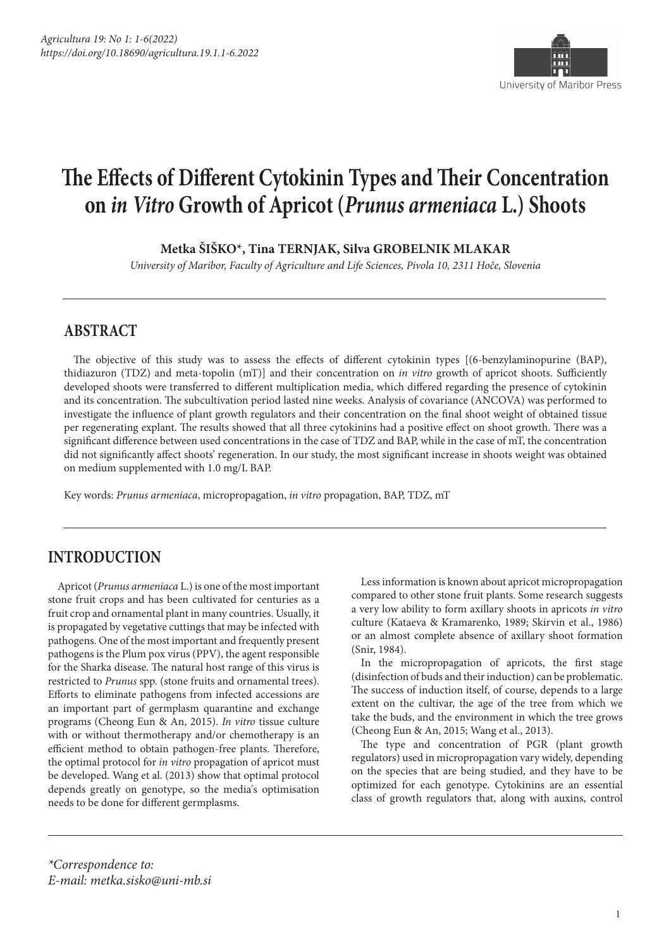

# **The Effects of Different Cytokinin Types and Their Concentration on** *in Vitro* **Growth of Apricot (***Prunus armeniaca* **L.) Shoots**

**Metka ŠIŠKO\*, Tina TERNJAK, Silva GROBELNIK MLAKAR**

*University of Maribor, Faculty of Agriculture and Life Sciences, Pivola 10, 2311 Hoče, Slovenia*

## **ABSTRACT**

The objective of this study was to assess the effects of different cytokinin types [(6-benzylaminopurine (BAP), thidiazuron (TDZ) and meta-topolin (mT)] and their concentration on *in vitro* growth of apricot shoots. Sufficiently developed shoots were transferred to different multiplication media, which differed regarding the presence of cytokinin and its concentration. The subcultivation period lasted nine weeks. Analysis of covariance (ANCOVA) was performed to investigate the influence of plant growth regulators and their concentration on the final shoot weight of obtained tissue per regenerating explant. The results showed that all three cytokinins had a positive effect on shoot growth. There was a significant difference between used concentrations in the case of TDZ and BAP, while in the case of mT, the concentration did not significantly affect shoots' regeneration. In our study, the most significant increase in shoots weight was obtained on medium supplemented with 1.0 mg/L BAP.

Key words: *Prunus armeniaca*, micropropagation, *in vitro* propagation, BAP, TDZ, mT

# **INTRODUCTION**

Apricot (*Prunus armeniaca* L.) is one of the most important stone fruit crops and has been cultivated for centuries as a fruit crop and ornamental plant in many countries. Usually, it is propagated by vegetative cuttings that may be infected with pathogens. One of the most important and frequently present pathogens is the Plum pox virus (PPV), the agent responsible for the Sharka disease. The natural host range of this virus is restricted to *Prunus* spp. (stone fruits and ornamental trees). Efforts to eliminate pathogens from infected accessions are an important part of germplasm quarantine and exchange programs (Cheong Eun & An, 2015). *In vitro* tissue culture with or without thermotherapy and/or chemotherapy is an efficient method to obtain pathogen-free plants. Therefore, the optimal protocol for *in vitro* propagation of apricot must be developed. Wang et al. (2013) show that optimal protocol depends greatly on genotype, so the media's optimisation needs to be done for different germplasms.

Less information is known about apricot micropropagation compared to other stone fruit plants. Some research suggests a very low ability to form axillary shoots in apricots *in vitro* culture (Kataeva & Kramarenko, 1989; Skirvin et al., 1986) or an almost complete absence of axillary shoot formation (Snir, 1984).

In the micropropagation of apricots, the first stage (disinfection of buds and their induction) can be problematic. The success of induction itself, of course, depends to a large extent on the cultivar, the age of the tree from which we take the buds, and the environment in which the tree grows (Cheong Eun & An, 2015; Wang et al., 2013).

The type and concentration of PGR (plant growth regulators) used in micropropagation vary widely, depending on the species that are being studied, and they have to be optimized for each genotype. Cytokinins are an essential class of growth regulators that, along with auxins, control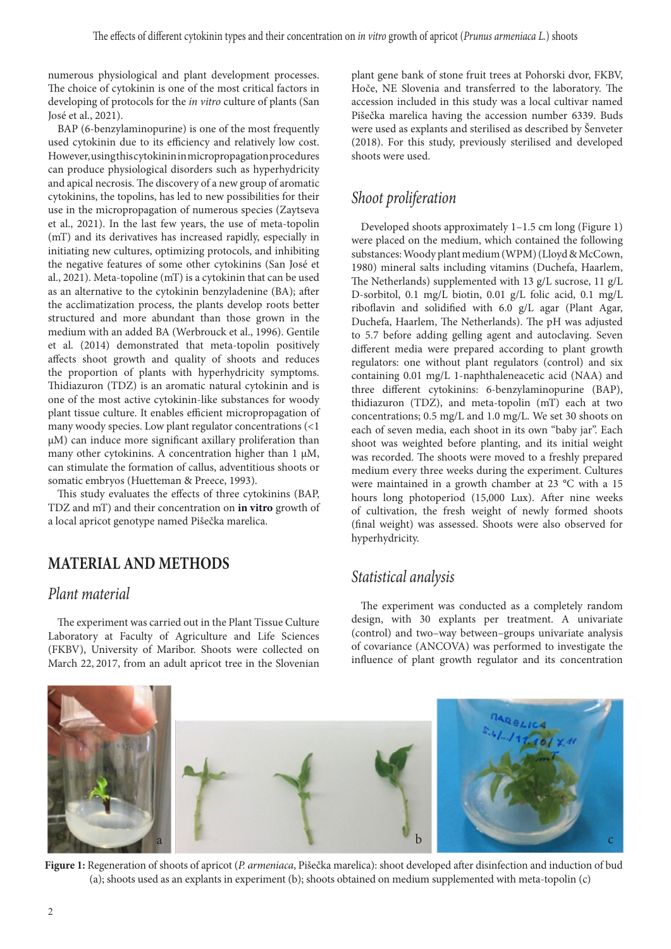numerous physiological and plant development processes. The choice of cytokinin is one of the most critical factors in developing of protocols for the *in vitro* culture of plants (San José et al., 2021).

BAP (6-benzylaminopurine) is one of the most frequently used cytokinin due to its efficiency and relatively low cost. However, using this cytokinin in micropropagation procedures can produce physiological disorders such as hyperhydricity and apical necrosis. The discovery of a new group of aromatic cytokinins, the topolins, has led to new possibilities for their use in the micropropagation of numerous species (Zaytseva et al., 2021). In the last few years, the use of meta-topolin (mT) and its derivatives has increased rapidly, especially in initiating new cultures, optimizing protocols, and inhibiting the negative features of some other cytokinins (San José et al., 2021). Meta-topoline (mT) is a cytokinin that can be used as an alternative to the cytokinin benzyladenine (BA); after the acclimatization process, the plants develop roots better structured and more abundant than those grown in the medium with an added BA (Werbrouck et al., 1996). Gentile et al. (2014) demonstrated that meta-topolin positively affects shoot growth and quality of shoots and reduces the proportion of plants with hyperhydricity symptoms. Thidiazuron (TDZ) is an aromatic natural cytokinin and is one of the most active cytokinin-like substances for woody plant tissue culture. It enables efficient micropropagation of many woody species. Low plant regulator concentrations (<1 µM) can induce more significant axillary proliferation than many other cytokinins. A concentration higher than 1 µM, can stimulate the formation of callus, adventitious shoots or somatic embryos (Huetteman & Preece, 1993).

This study evaluates the effects of three cytokinins (BAP, TDZ and mT) and their concentration on **in vitro** growth of a local apricot genotype named Pišečka marelica.

# **MATERIAL AND METHODS**

## *Plant material*

The experiment was carried out in the Plant Tissue Culture Laboratory at Faculty of Agriculture and Life Sciences (FKBV), University of Maribor. Shoots were collected on March 22, 2017, from an adult apricot tree in the Slovenian

plant gene bank of stone fruit trees at Pohorski dvor, FKBV, Hoče, NE Slovenia and transferred to the laboratory. The accession included in this study was a local cultivar named Pišečka marelica having the accession number 6339. Buds were used as explants and sterilised as described by Šenveter (2018). For this study, previously sterilised and developed shoots were used.

# *Shoot proliferation*

Developed shoots approximately 1–1.5 cm long (Figure 1) were placed on the medium, which contained the following substances: Woody plant medium (WPM) (Lloyd & McCown, 1980) mineral salts including vitamins (Duchefa, Haarlem, The Netherlands) supplemented with 13 g/L sucrose, 11 g/L D-sorbitol, 0.1 mg/L biotin, 0.01 g/L folic acid, 0.1 mg/L riboflavin and solidified with 6.0 g/L agar (Plant Agar, Duchefa, Haarlem, The Netherlands). The pH was adjusted to 5.7 before adding gelling agent and autoclaving. Seven different media were prepared according to plant growth regulators: one without plant regulators (control) and six containing 0.01 mg/L 1-naphthaleneacetic acid (NAA) and three different cytokinins: 6-benzylaminopurine (BAP), thidiazuron (TDZ), and meta-topolin (mT) each at two concentrations; 0.5 mg/L and 1.0 mg/L. We set 30 shoots on each of seven media, each shoot in its own "baby jar". Each shoot was weighted before planting, and its initial weight was recorded. The shoots were moved to a freshly prepared medium every three weeks during the experiment. Cultures were maintained in a growth chamber at 23 °C with a 15 hours long photoperiod (15,000 Lux). After nine weeks of cultivation, the fresh weight of newly formed shoots (final weight) was assessed. Shoots were also observed for hyperhydricity.

## *Statistical analysis*

The experiment was conducted as a completely random design, with 30 explants per treatment. A univariate (control) and two–way between–groups univariate analysis of covariance (ANCOVA) was performed to investigate the influence of plant growth regulator and its concentration



**Figure 1:** Regeneration of shoots of apricot (*P. armeniaca*, Pišečka marelica): shoot developed after disinfection and induction of bud (a); shoots used as an explants in experiment (b); shoots obtained on medium supplemented with meta-topolin (c)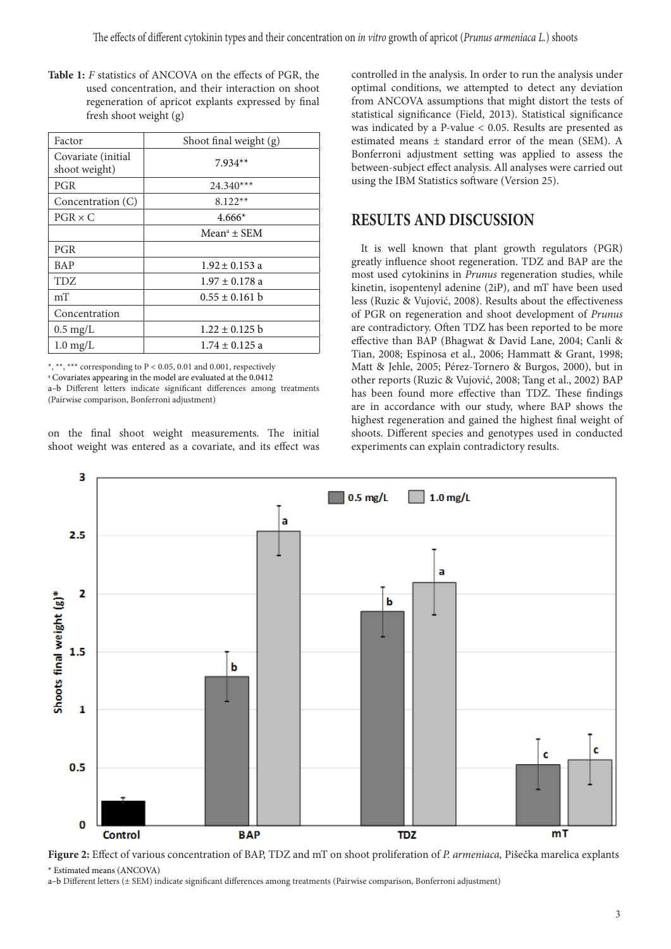**Table 1:** *F* statistics of ANCOVA on the effects of PGR, the used concentration, and their interaction on shoot regeneration of apricot explants expressed by final fresh shoot weight (g)

| Factor                              | Shoot final weight (g)  |
|-------------------------------------|-------------------------|
| Covariate (initial<br>shoot weight) | $7.934**$               |
| PGR                                 | $24.340***$             |
| Concentration (C)                   | $8.122**$               |
| $PGR \times C$                      | $4.666*$                |
|                                     | Mean <sup>a</sup> ± SEM |
| <b>PGR</b>                          |                         |
| <b>BAP</b>                          | $1.92 \pm 0.153$ a      |
| <b>TDZ</b>                          | $1.97 \pm 0.178$ a      |
| mT                                  | $0.55 \pm 0.161$ b      |
| Concentration                       |                         |
| $0.5 \text{ mg/L}$                  | $1.22 \pm 0.125$ b      |
| $1.0 \text{ mg/L}$                  | $1.74 \pm 0.125$ a      |

\*, \*\*, \*\*\* corresponding to  $P < 0.05$ , 0.01 and 0.001, respectively a Covariates appearing in the model are evaluated at the 0.0412 a–b Different letters indicate significant differences among treatments (Pairwise comparison, Bonferroni adjustment)

on the final shoot weight measurements. The initial shoot weight was entered as a covariate, and its effect was controlled in the analysis. In order to run the analysis under optimal conditions, we attempted to detect any deviation from ANCOVA assumptions that might distort the tests of statistical significance (Field, 2013). Statistical significance was indicated by a P-value < 0.05. Results are presented as estimated means ± standard error of the mean (SEM). A Bonferroni adjustment setting was applied to assess the between-subject effect analysis. All analyses were carried out using the IBM Statistics software (Version 25).

## **RESULTS AND DISCUSSION**

It is well known that plant growth regulators (PGR) greatly influence shoot regeneration. TDZ and BAP are the most used cytokinins in *Prunus* regeneration studies, while kinetin, isopentenyl adenine (2iP), and mT have been used less (Ruzic & Vujović, 2008). Results about the effectiveness of PGR on regeneration and shoot development of *Prunus* are contradictory. Often TDZ has been reported to be more effective than BAP (Bhagwat & David Lane, 2004; Canli & Tian, 2008; Espinosa et al., 2006; Hammatt & Grant, 1998; Matt & Jehle, 2005; Pérez-Tornero & Burgos, 2000), but in other reports (Ruzic & Vujović, 2008; Tang et al., 2002) BAP has been found more effective than TDZ. These findings are in accordance with our study, where BAP shows the highest regeneration and gained the highest final weight of shoots. Different species and genotypes used in conducted experiments can explain contradictory results.



**Figure 2:** Effect of various concentration of BAP, TDZ and mT on shoot proliferation of *P. armeniaca,* Pišečka marelica explants \* Estimated means (ANCOVA)

a–b Different letters (± SEM) indicate significant differences among treatments (Pairwise comparison, Bonferroni adjustment)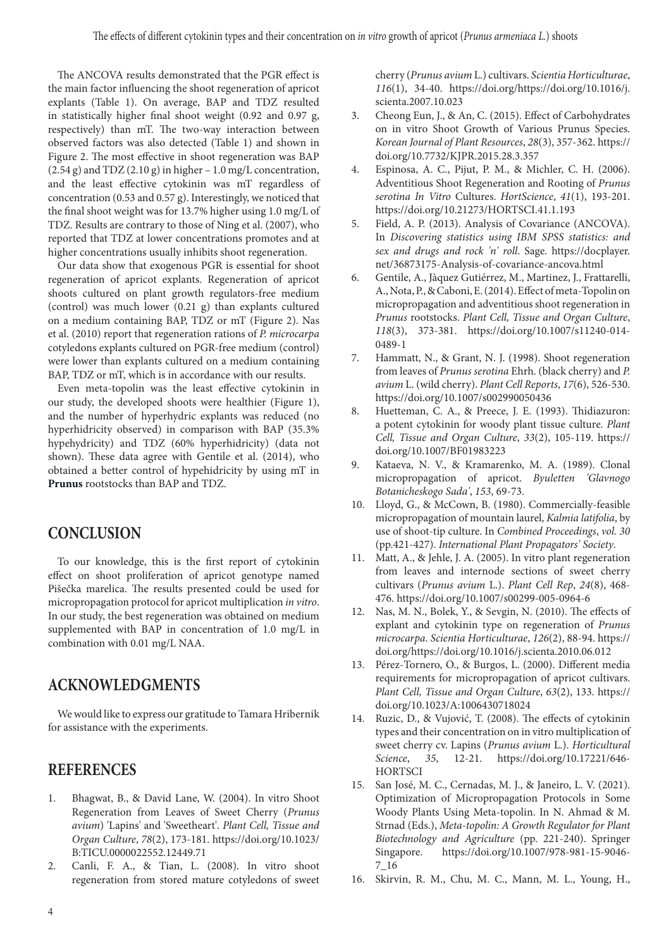The ANCOVA results demonstrated that the PGR effect is the main factor influencing the shoot regeneration of apricot explants (Table 1). On average, BAP and TDZ resulted in statistically higher final shoot weight (0.92 and 0.97 g, respectively) than mT. The two-way interaction between observed factors was also detected (Table 1) and shown in Figure 2. The most effective in shoot regeneration was BAP  $(2.54 \text{ g})$  and TDZ  $(2.10 \text{ g})$  in higher – 1.0 mg/L concentration, and the least effective cytokinin was mT regardless of concentration (0.53 and 0.57 g). Interestingly, we noticed that the final shoot weight was for 13.7% higher using 1.0 mg/L of TDZ. Results are contrary to those of Ning et al. (2007), who reported that TDZ at lower concentrations promotes and at higher concentrations usually inhibits shoot regeneration.

Our data show that exogenous PGR is essential for shoot regeneration of apricot explants. Regeneration of apricot shoots cultured on plant growth regulators-free medium (control) was much lower (0.21 g) than explants cultured on a medium containing BAP, TDZ or mT (Figure 2). Nas et al. (2010) report that regeneration rations of *P. microcarpa* cotyledons explants cultured on PGR-free medium (control) were lower than explants cultured on a medium containing BAP, TDZ or mT, which is in accordance with our results.

Even meta-topolin was the least effective cytokinin in our study, the developed shoots were healthier (Figure 1), and the number of hyperhydric explants was reduced (no hyperhidricity observed) in comparison with BAP (35.3% hypehydricity) and TDZ (60% hyperhidricity) (data not shown). These data agree with Gentile et al. (2014), who obtained a better control of hypehidricity by using mT in **Prunus** rootstocks than BAP and TDZ.

## **CONCLUSION**

To our knowledge, this is the first report of cytokinin effect on shoot proliferation of apricot genotype named Pišečka marelica. The results presented could be used for micropropagation protocol for apricot multiplication *in vitro*. In our study, the best regeneration was obtained on medium supplemented with BAP in concentration of 1.0 mg/L in combination with 0.01 mg/L NAA.

## **ACKNOWLEDGMENTS**

We would like to express our gratitude to Tamara Hribernik for assistance with the experiments.

## **REFERENCES**

- 1. Bhagwat, B., & David Lane, W. (2004). In vitro Shoot Regeneration from Leaves of Sweet Cherry (*Prunus avium*) 'Lapins' and 'Sweetheart'. *Plant Cell, Tissue and Organ Culture*, *78*(2), 173-181. https://doi.org/10.1023/ B:TICU.0000022552.12449.71
- 2. Canli, F. A., & Tian, L. (2008). In vitro shoot regeneration from stored mature cotyledons of sweet

cherry (*Prunus avium* L.) cultivars. *Scientia Horticulturae*, *116*(1), 34-40. https://doi.org/https://doi.org/10.1016/j. scienta.2007.10.023

- 3. Cheong Eun, J., & An, C. (2015). Effect of Carbohydrates on in vitro Shoot Growth of Various Prunus Species. *Korean Journal of Plant Resources*, *28*(3), 357-362. https:// doi.org/10.7732/KJPR.2015.28.3.357
- 4. Espinosa, A. C., Pijut, P. M., & Michler, C. H. (2006). Adventitious Shoot Regeneration and Rooting of *Prunus serotina In Vitro* Cultures. *HortScience*, *41*(1), 193-201. https://doi.org/10.21273/HORTSCI.41.1.193
- 5. Field, A. P. (2013). Analysis of Covariance (ANCOVA). In *Discovering statistics using IBM SPSS statistics: and sex and drugs and rock 'n' roll*. Sage. https://docplayer. net/36873175-Analysis-of-covariance-ancova.html
- 6. Gentile, A., Jàquez Gutiérrez, M., Martinez, J., Frattarelli, A., Nota, P., & Caboni, E. (2014). Effect of meta-Topolin on micropropagation and adventitious shoot regeneration in *Prunus* rootstocks. *Plant Cell, Tissue and Organ Culture*, *118*(3), 373-381. https://doi.org/10.1007/s11240-014- 0489-1
- 7. Hammatt, N., & Grant, N. J. (1998). Shoot regeneration from leaves of *Prunus serotina* Ehrh. (black cherry) and *P. avium* L. (wild cherry). *Plant Cell Reports*, *17*(6), 526-530. https://doi.org/10.1007/s002990050436
- 8. Huetteman, C. A., & Preece, J. E. (1993). Thidiazuron: a potent cytokinin for woody plant tissue culture. *Plant Cell, Tissue and Organ Culture*, *33*(2), 105-119. https:// doi.org/10.1007/BF01983223
- 9. Kataeva, N. V., & Kramarenko, M. A. (1989). Clonal micropropagation of apricot. *Byuletten 'Glavnogo Botanicheskogo Sada'*, *153*, 69-73.
- 10. Lloyd, G., & McCown, B. (1980). Commercially-feasible micropropagation of mountain laurel, *Kalmia latifolia*, by use of shoot-tip culture. In *Combined Proceedings*, *vol. 30*  (pp.421-427). *International Plant Propagators' Society*.
- 11. Matt, A., & Jehle, J. A. (2005). In vitro plant regeneration from leaves and internode sections of sweet cherry cultivars (*Prunus avium* L.). *Plant Cell Rep*, *24*(8), 468- 476. https://doi.org/10.1007/s00299-005-0964-6
- 12. Nas, M. N., Bolek, Y., & Sevgin, N. (2010). The effects of explant and cytokinin type on regeneration of *Prunus microcarpa*. *Scientia Horticulturae*, *126*(2), 88-94. https:// doi.org/https://doi.org/10.1016/j.scienta.2010.06.012
- 13. Pérez-Tornero, O., & Burgos, L. (2000). Different media requirements for micropropagation of apricot cultivars. *Plant Cell, Tissue and Organ Culture*, *63*(2), 133. https:// doi.org/10.1023/A:1006430718024
- 14. Ruzic, D., & Vujović, T. (2008). The effects of cytokinin types and their concentration on in vitro multiplication of sweet cherry cv. Lapins (*Prunus avium* L.). *Horticultural Science*, *35*, 12-21. https://doi.org/10.17221/646- **HORTSCI**
- 15. San José, M. C., Cernadas, M. J., & Janeiro, L. V. (2021). Optimization of Micropropagation Protocols in Some Woody Plants Using Meta-topolin. In N. Ahmad & M. Strnad (Eds.), *Meta-topolin: A Growth Regulator for Plant Biotechnology and Agriculture* (pp. 221-240). Springer Singapore. https://doi.org/10.1007/978-981-15-9046- 7\_16
- 16. Skirvin, R. M., Chu, M. C., Mann, M. L., Young, H.,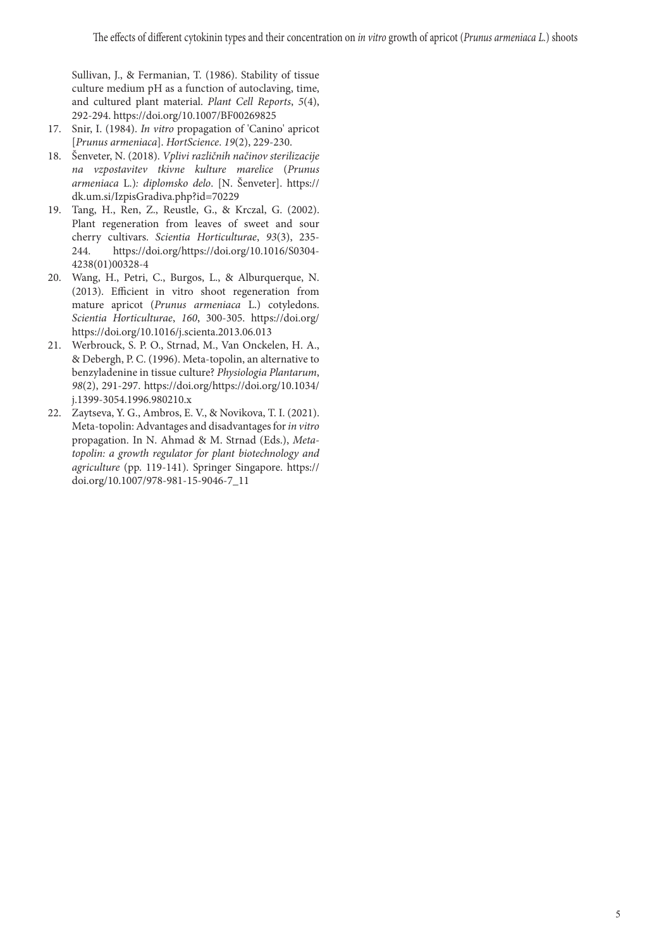Sullivan, J., & Fermanian, T. (1986). Stability of tissue culture medium pH as a function of autoclaving, time, and cultured plant material. *Plant Cell Reports*, *5*(4), 292-294. https://doi.org/10.1007/BF00269825

- 17. Snir, I. (1984). *In vitro* propagation of 'Canino' apricot [*Prunus armeniaca*]. *HortScience*. *19*(2), 229-230.
- 18. Šenveter, N. (2018). *Vplivi različnih načinov sterilizacije na vzpostavitev tkivne kulture marelice* (*Prunus armeniaca* L.)*: diplomsko delo*. [N. Šenveter]. https:// dk.um.si/IzpisGradiva.php?id=70229
- 19. Tang, H., Ren, Z., Reustle, G., & Krczal, G. (2002). Plant regeneration from leaves of sweet and sour cherry cultivars. *Scientia Horticulturae*, *93*(3), 235- 244. https://doi.org/https://doi.org/10.1016/S0304- 4238(01)00328-4
- 20. Wang, H., Petri, C., Burgos, L., & Alburquerque, N. (2013). Efficient in vitro shoot regeneration from mature apricot (*Prunus armeniaca* L.) cotyledons. *Scientia Horticulturae*, *160*, 300-305. https://doi.org/ https://doi.org/10.1016/j.scienta.2013.06.013
- 21. Werbrouck, S. P. O., Strnad, M., Van Onckelen, H. A., & Debergh, P. C. (1996). Meta-topolin, an alternative to benzyladenine in tissue culture? *Physiologia Plantarum*, *98*(2), 291-297. https://doi.org/https://doi.org/10.1034/ j.1399-3054.1996.980210.x
- 22. Zaytseva, Y. G., Ambros, E. V., & Novikova, T. I. (2021). Meta-topolin: Advantages and disadvantages for *in vitro* propagation. In N. Ahmad & M. Strnad (Eds.), *Metatopolin: a growth regulator for plant biotechnology and agriculture* (pp. 119-141). Springer Singapore. https:// doi.org/10.1007/978-981-15-9046-7\_11